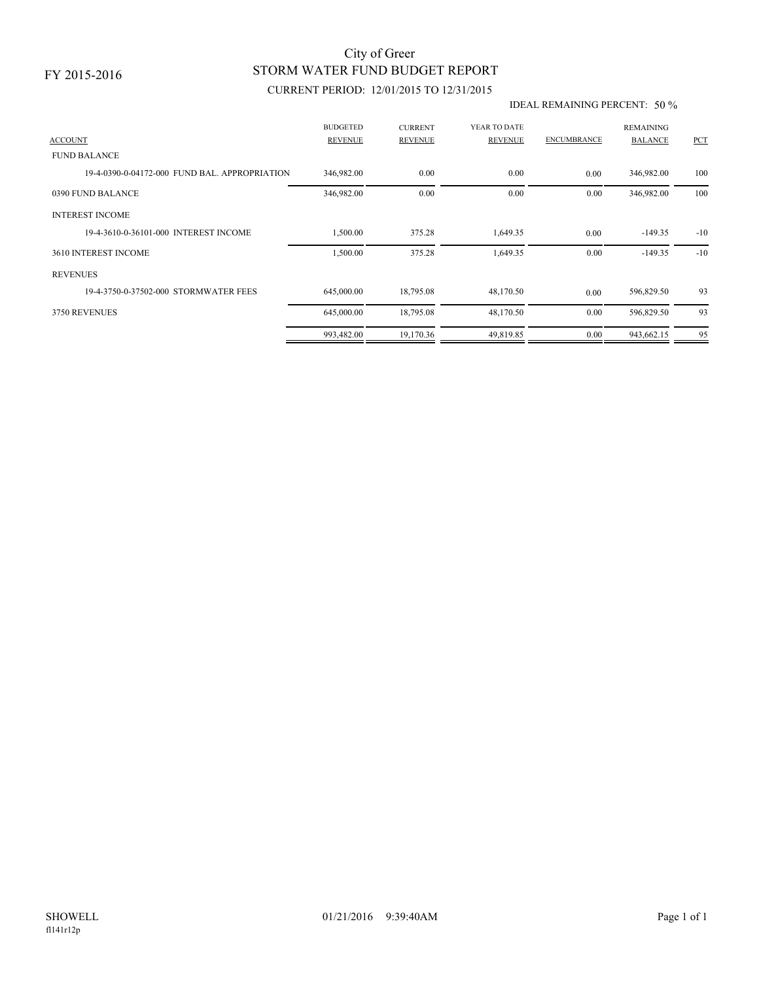## STORM WATER FUND BUDGET REPORT City of Greer

### CURRENT PERIOD: 12/01/2015 TO 12/31/2015

#### IDEAL REMAINING PERCENT: 50 %

| <b>ACCOUNT</b>                                | <b>BUDGETED</b><br><b>REVENUE</b> | <b>CURRENT</b><br><b>REVENUE</b> | YEAR TO DATE<br><b>REVENUE</b> | <b>ENCUMBRANCE</b> | <b>REMAINING</b><br><b>BALANCE</b> | PCT   |
|-----------------------------------------------|-----------------------------------|----------------------------------|--------------------------------|--------------------|------------------------------------|-------|
| <b>FUND BALANCE</b>                           |                                   |                                  |                                |                    |                                    |       |
| 19-4-0390-0-04172-000 FUND BAL, APPROPRIATION | 346,982.00                        | 0.00                             | 0.00                           | 0.00               | 346,982.00                         | 100   |
| 0390 FUND BALANCE                             | 346,982.00                        | 0.00                             | 0.00                           | 0.00               | 346,982.00                         | 100   |
| <b>INTEREST INCOME</b>                        |                                   |                                  |                                |                    |                                    |       |
| 19-4-3610-0-36101-000 INTEREST INCOME         | 1,500.00                          | 375.28                           | 1,649.35                       | 0.00               | $-149.35$                          | $-10$ |
| 3610 INTEREST INCOME                          | 1,500.00                          | 375.28                           | 1,649.35                       | 0.00               | $-149.35$                          | $-10$ |
| <b>REVENUES</b>                               |                                   |                                  |                                |                    |                                    |       |
| 19-4-3750-0-37502-000 STORMWATER FEES         | 645,000.00                        | 18,795.08                        | 48,170.50                      | 0.00               | 596,829.50                         | 93    |
| 3750 REVENUES                                 | 645,000.00                        | 18,795.08                        | 48,170.50                      | 0.00               | 596,829.50                         | 93    |
|                                               | 993,482.00                        | 19,170.36                        | 49,819.85                      | 0.00               | 943,662.15                         | 95    |
|                                               |                                   |                                  |                                |                    |                                    |       |